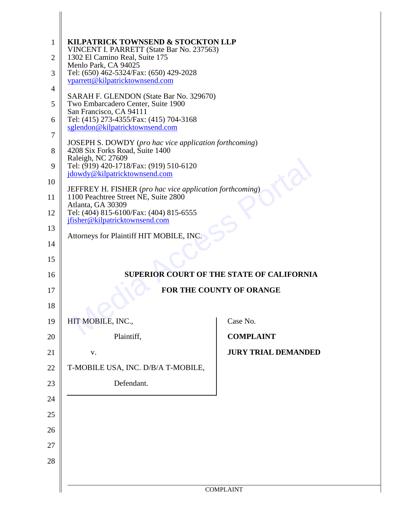| $\mathbf{1}$   | KILPATRICK TOWNSEND & STOCKTON LLP                                                               |                                                  |  |
|----------------|--------------------------------------------------------------------------------------------------|--------------------------------------------------|--|
| $\overline{2}$ | VINCENT I. PARRETT (State Bar No. 237563)<br>1302 El Camino Real, Suite 175                      |                                                  |  |
| 3              | Menlo Park, CA 94025<br>Tel: (650) 462-5324/Fax: (650) 429-2028                                  |                                                  |  |
| $\overline{4}$ | vparrett@kilpatricktownsend.com                                                                  |                                                  |  |
| 5              | SARAH F. GLENDON (State Bar No. 329670)<br>Two Embarcadero Center, Suite 1900                    |                                                  |  |
| 6              | San Francisco, CA 94111<br>Tel: (415) 273-4355/Fax: (415) 704-3168                               |                                                  |  |
| 7              | sglendon@kilpatricktownsend.com                                                                  |                                                  |  |
| 8              | <b>JOSEPH S. DOWDY</b> (pro hac vice application forthcoming)<br>4208 Six Forks Road, Suite 1400 |                                                  |  |
| 9              | Raleigh, NC 27609<br>Tel: (919) 420-1718/Fax: (919) 510-6120                                     |                                                  |  |
| 10             | jdowdy@kilpatricktownsend.com                                                                    |                                                  |  |
| 11             | JEFFREY H. FISHER (pro hac vice application forthcoming)<br>1100 Peachtree Street NE, Suite 2800 |                                                  |  |
| 12             | Atlanta, GA 30309<br>Tel: (404) 815-6100/Fax: (404) 815-6555                                     |                                                  |  |
| 13             | jfisher@kilpatricktownsend.com                                                                   |                                                  |  |
| 14             | Attorneys for Plaintiff HIT MOBILE, INC.                                                         |                                                  |  |
| 15             |                                                                                                  |                                                  |  |
| 16             |                                                                                                  | <b>SUPERIOR COURT OF THE STATE OF CALIFORNIA</b> |  |
| 17             | <b>FOR THE COUNTY OF ORANGE</b>                                                                  |                                                  |  |
| 18             |                                                                                                  |                                                  |  |
| 19             | HIT MOBILE, INC.,                                                                                | Case No.                                         |  |
| 20             | Plaintiff,                                                                                       | <b>COMPLAINT</b>                                 |  |
| 21             | V.                                                                                               | <b>JURY TRIAL DEMANDED</b>                       |  |
| 22             |                                                                                                  |                                                  |  |
|                | T-MOBILE USA, INC. D/B/A T-MOBILE,                                                               |                                                  |  |
| 23             | Defendant.                                                                                       |                                                  |  |
| 24             |                                                                                                  |                                                  |  |
| 25             |                                                                                                  |                                                  |  |
| 26             |                                                                                                  |                                                  |  |
| 27             |                                                                                                  |                                                  |  |
| 28             |                                                                                                  |                                                  |  |
|                |                                                                                                  |                                                  |  |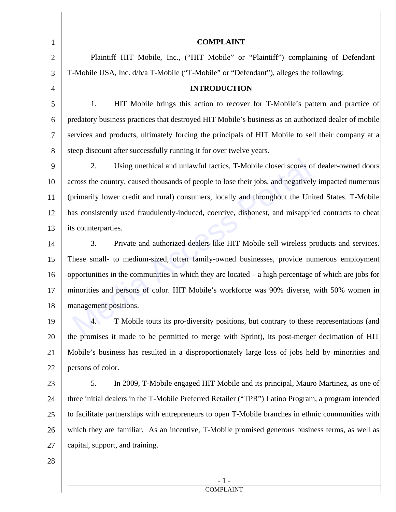| 1              | <b>COMPLAINT</b>                                                                                         |
|----------------|----------------------------------------------------------------------------------------------------------|
| $\overline{2}$ | Plaintiff HIT Mobile, Inc., ("HIT Mobile" or "Plaintiff") complaining of Defendant                       |
| 3              | T-Mobile USA, Inc. d/b/a T-Mobile ("T-Mobile" or "Defendant"), alleges the following:                    |
| $\overline{4}$ | <b>INTRODUCTION</b>                                                                                      |
| 5              | HIT Mobile brings this action to recover for T-Mobile's pattern and practice of<br>1.                    |
| 6              | predatory business practices that destroyed HIT Mobile's business as an authorized dealer of mobile      |
| 7              | services and products, ultimately forcing the principals of HIT Mobile to sell their company at a        |
| 8              | steep discount after successfully running it for over twelve years.                                      |
| 9              | Using unethical and unlawful tactics, T-Mobile closed scores of dealer-owned doors<br>2.                 |
| 10             | across the country, caused thousands of people to lose their jobs, and negatively impacted numerous      |
| 11             | (primarily lower credit and rural) consumers, locally and throughout the United States. T-Mobile         |
| 12             | has consistently used fraudulently-induced, coercive, dishonest, and misapplied contracts to cheat       |
| 13             | its counterparties.                                                                                      |
| 14             | 3.<br>Private and authorized dealers like HIT Mobile sell wireless products and services.                |
| 15             | These small- to medium-sized, often family-owned businesses, provide numerous employment                 |
| 16             | opportunities in the communities in which they are located $-$ a high percentage of which are jobs for   |
| 17             | minorities and persons of color. HIT Mobile's workforce was 90% diverse, with 50% women in               |
| 18             | management positions.                                                                                    |
| 19             | T Mobile touts its pro-diversity positions, but contrary to these representations (and<br>$\mathbf{A}$ . |
| 20             | the promises it made to be permitted to merge with Sprint), its post-merger decimation of HIT            |
| 21             | Mobile's business has resulted in a disproportionately large loss of jobs held by minorities and         |
| 22             | persons of color.                                                                                        |
| 23             | 5.<br>In 2009, T-Mobile engaged HIT Mobile and its principal, Mauro Martinez, as one of                  |
| 24             | three initial dealers in the T-Mobile Preferred Retailer ("TPR") Latino Program, a program intended      |
| 25             | to facilitate partnerships with entrepreneurs to open T-Mobile branches in ethnic communities with       |
| 26             | which they are familiar. As an incentive, T-Mobile promised generous business terms, as well as          |
| 27             | capital, support, and training.                                                                          |

║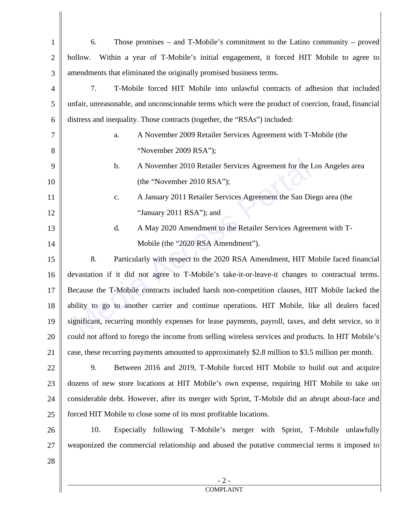| $\mathbf{1}$   | Those promises – and T-Mobile's commitment to the Latino community – proved<br>6.                   |
|----------------|-----------------------------------------------------------------------------------------------------|
| $\overline{2}$ | Within a year of T-Mobile's initial engagement, it forced HIT Mobile to agree to<br>hollow.         |
| 3              | amendments that eliminated the originally promised business terms.                                  |
| $\overline{4}$ | T-Mobile forced HIT Mobile into unlawful contracts of adhesion that included<br>7.                  |
| 5              | unfair, unreasonable, and unconscionable terms which were the product of coercion, fraud, financial |
| 6              | distress and inequality. Those contracts (together, the "RSAs") included:                           |
| $\tau$         | A November 2009 Retailer Services Agreement with T-Mobile (the<br>a.                                |
| 8              | "November 2009 RSA");                                                                               |
| 9              | A November 2010 Retailer Services Agreement for the Los Angeles area<br>$\mathbf b$ .               |
| 10             | (the "November 2010 RSA");                                                                          |
| 11             | A January 2011 Retailer Services Agreement the San Diego area (the<br>$\mathbf{c}.$                 |
| 12             | "January 2011 RSA"); and                                                                            |
| 13             | d.<br>A May 2020 Amendment to the Retailer Services Agreement with T-                               |
| 14             | Mobile (the "2020 RSA Amendment").                                                                  |
| 15             | 8.<br>Particularly with respect to the 2020 RSA Amendment, HIT Mobile faced financial               |
| 16             | devastation if it did not agree to T-Mobile's take-it-or-leave-it changes to contractual terms.     |
| 17             | Because the T-Mobile contracts included harsh non-competition clauses, HIT Mobile lacked the        |
| 18             | ability to go to another carrier and continue operations. HIT Mobile, like all dealers faced        |
| 19             | significant, recurring monthly expenses for lease payments, payroll, taxes, and debt service, so it |
| 20             | could not afford to forego the income from selling wireless services and products. In HIT Mobile's  |
| 21             | case, these recurring payments amounted to approximately \$2.8 million to \$3.5 million per month.  |
| 22             | 9.<br>Between 2016 and 2019, T-Mobile forced HIT Mobile to build out and acquire                    |
| 23             | dozens of new store locations at HIT Mobile's own expense, requiring HIT Mobile to take on          |
| 24             | considerable debt. However, after its merger with Sprint, T-Mobile did an abrupt about-face and     |
| 25             | forced HIT Mobile to close some of its most profitable locations.                                   |
| 26             | 10.<br>Especially following T-Mobile's merger with Sprint, T-Mobile unlawfully                      |
| 27             | weaponized the commercial relationship and abused the putative commercial terms it imposed to       |
| 28             |                                                                                                     |
|                | $-2-$                                                                                               |
|                | <b>COMPLAINT</b>                                                                                    |

 $\begin{array}{c} \hline \end{array}$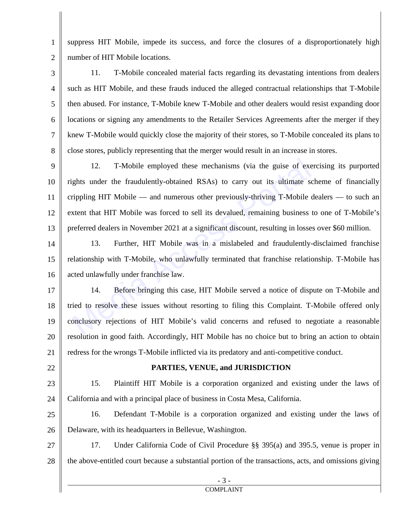1 2 suppress HIT Mobile, impede its success, and force the closures of a disproportionately high number of HIT Mobile locations.

3 4 5 6 7 8 11. T-Mobile concealed material facts regarding its devastating intentions from dealers such as HIT Mobile, and these frauds induced the alleged contractual relationships that T-Mobile then abused. For instance, T-Mobile knew T-Mobile and other dealers would resist expanding door locations or signing any amendments to the Retailer Services Agreements after the merger if they knew T-Mobile would quickly close the majority of their stores, so T-Mobile concealed its plans to close stores, publicly representing that the merger would result in an increase in stores.

9 10 11 12 13 12. T-Mobile employed these mechanisms (via the guise of exercising its purported rights under the fraudulently-obtained RSAs) to carry out its ultimate scheme of financially crippling HIT Mobile — and numerous other previously-thriving T-Mobile dealers — to such an extent that HIT Mobile was forced to sell its devalued, remaining business to one of T-Mobile's preferred dealers in November 2021 at a significant discount, resulting in losses over \$60 million. 12. T-Mobile employed these mechanisms (via the guise of exergits under the fraudulently-obtained RSAs) to carry out its ultimate serippling HIT Mobile — and numerous other previously-thriving T-Mobile vatent that HIT Mobi

14 15 16 13. Further, HIT Mobile was in a mislabeled and fraudulently-disclaimed franchise relationship with T-Mobile, who unlawfully terminated that franchise relationship. T-Mobile has acted unlawfully under franchise law.

17 18 19 20 21 14. Before bringing this case, HIT Mobile served a notice of dispute on T-Mobile and tried to resolve these issues without resorting to filing this Complaint. T-Mobile offered only conclusory rejections of HIT Mobile's valid concerns and refused to negotiate a reasonable resolution in good faith. Accordingly, HIT Mobile has no choice but to bring an action to obtain redress for the wrongs T-Mobile inflicted via its predatory and anti-competitive conduct.

22

#### **PARTIES, VENUE, and JURISDICTION**

23 24 15. Plaintiff HIT Mobile is a corporation organized and existing under the laws of California and with a principal place of business in Costa Mesa, California.

25 26 16. Defendant T-Mobile is a corporation organized and existing under the laws of Delaware, with its headquarters in Bellevue, Washington.

27 28 17. Under California Code of Civil Procedure §§ 395(a) and 395.5, venue is proper in the above-entitled court because a substantial portion of the transactions, acts, and omissions giving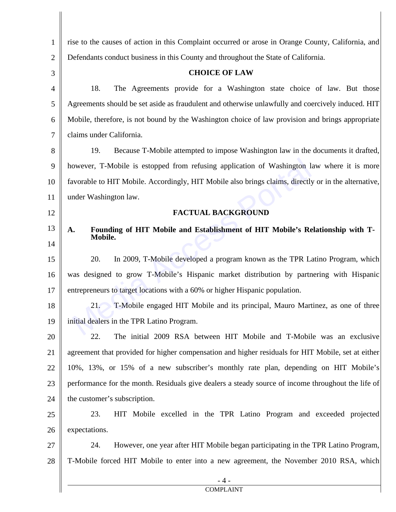| $\mathbf{1}$   | rise to the causes of action in this Complaint occurred or arose in Orange County, California, and   |  |
|----------------|------------------------------------------------------------------------------------------------------|--|
| $\overline{2}$ | Defendants conduct business in this County and throughout the State of California.                   |  |
| 3              | <b>CHOICE OF LAW</b>                                                                                 |  |
| 4              | The Agreements provide for a Washington state choice of law. But those<br>18.                        |  |
| 5              | Agreements should be set aside as fraudulent and otherwise unlawfully and coercively induced. HIT    |  |
| 6              | Mobile, therefore, is not bound by the Washington choice of law provision and brings appropriate     |  |
| $\overline{7}$ | claims under California.                                                                             |  |
| 8              | Because T-Mobile attempted to impose Washington law in the documents it drafted,<br>19.              |  |
| 9              | however, T-Mobile is estopped from refusing application of Washington law where it is more           |  |
| 10             | favorable to HIT Mobile. Accordingly, HIT Mobile also brings claims, directly or in the alternative, |  |
| 11             | under Washington law.                                                                                |  |
| 12             | <b>FACTUAL BACKGROUND</b>                                                                            |  |
| 13             | Founding of HIT Mobile and Establishment of HIT Mobile's Relationship with T-<br>A.                  |  |
| 14             | Mobile.                                                                                              |  |
| 15             | 20.<br>In 2009, T-Mobile developed a program known as the TPR Latino Program, which                  |  |
| 16             | was designed to grow T-Mobile's Hispanic market distribution by partnering with Hispanic             |  |
| 17             | entrepreneurs to target locations with a 60% or higher Hispanic population.                          |  |
| 18             | 21.<br>T-Mobile engaged HIT Mobile and its principal, Mauro Martinez, as one of three                |  |
| 19             | initial dealers in the TPR Latino Program.                                                           |  |
| 20             | 22.<br>The initial 2009 RSA between HIT Mobile and T-Mobile was an exclusive                         |  |
| 21             | agreement that provided for higher compensation and higher residuals for HIT Mobile, set at either   |  |
| 22             | 10%, 13%, or 15% of a new subscriber's monthly rate plan, depending on HIT Mobile's                  |  |
| 23             | performance for the month. Residuals give dealers a steady source of income throughout the life of   |  |
| 24             | the customer's subscription.                                                                         |  |
| 25             | 23.<br>HIT Mobile excelled in the TPR Latino Program and exceeded projected                          |  |
| 26             | expectations.                                                                                        |  |
| 27             | 24.<br>However, one year after HIT Mobile began participating in the TPR Latino Program,             |  |
| 28             | T-Mobile forced HIT Mobile to enter into a new agreement, the November 2010 RSA, which               |  |
|                | <b>COMPLAINT</b>                                                                                     |  |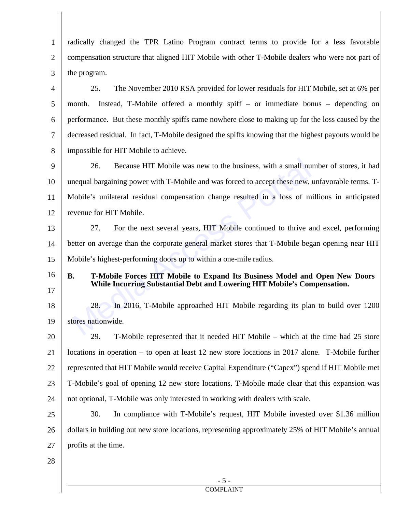1 2 3 4 5 6 7 8 9 10 11 12 13 14 15 16 17 18 19 20 21 22 radically changed the TPR Latino Program contract terms to provide for a less favorable compensation structure that aligned HIT Mobile with other T-Mobile dealers who were not part of the program. 25. The November 2010 RSA provided for lower residuals for HIT Mobile, set at 6% per month. Instead, T-Mobile offered a monthly spiff – or immediate bonus – depending on performance. But these monthly spiffs came nowhere close to making up for the loss caused by the decreased residual. In fact, T-Mobile designed the spiffs knowing that the highest payouts would be impossible for HIT Mobile to achieve. 26. Because HIT Mobile was new to the business, with a small number of stores, it had unequal bargaining power with T-Mobile and was forced to accept these new, unfavorable terms. T-Mobile's unilateral residual compensation change resulted in a loss of millions in anticipated revenue for HIT Mobile. 27. For the next several years, HIT Mobile continued to thrive and excel, performing better on average than the corporate general market stores that T-Mobile began opening near HIT Mobile's highest-performing doors up to within a one-mile radius. **B. T-Mobile Forces HIT Mobile to Expand Its Business Model and Open New Doors While Incurring Substantial Debt and Lowering HIT Mobile's Compensation.**  28. In 2016, T-Mobile approached HIT Mobile regarding its plan to build over 1200 stores nationwide. 29. T-Mobile represented that it needed HIT Mobile – which at the time had 25 store locations in operation – to open at least 12 new store locations in 2017 alone. T-Mobile further represented that HIT Mobile would receive Capital Expenditure ("Capex") spend if HIT Mobile met 26. Because HIT Mobile was new to the business, with a small nu<br>nequal bargaining power with T-Mobile and was forced to accept these new,<br>Aobile's unilateral residual compensation change resulted in a loss of m<br>evenue for

23 T-Mobile's goal of opening 12 new store locations. T-Mobile made clear that this expansion was

24 not optional, T-Mobile was only interested in working with dealers with scale.

25 26 27 30. In compliance with T-Mobile's request, HIT Mobile invested over \$1.36 million dollars in building out new store locations, representing approximately 25% of HIT Mobile's annual profits at the time.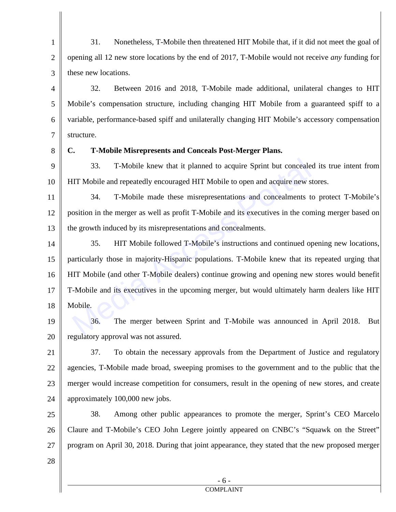1 2 3 31. Nonetheless, T-Mobile then threatened HIT Mobile that, if it did not meet the goal of opening all 12 new store locations by the end of 2017, T-Mobile would not receive *any* funding for these new locations.

4 5 6 7 32. Between 2016 and 2018, T-Mobile made additional, unilateral changes to HIT Mobile's compensation structure, including changing HIT Mobile from a guaranteed spiff to a variable, performance-based spiff and unilaterally changing HIT Mobile's accessory compensation structure.

8

### **C. T-Mobile Misrepresents and Conceals Post-Merger Plans.**

9 10 33. T-Mobile knew that it planned to acquire Sprint but concealed its true intent from HIT Mobile and repeatedly encouraged HIT Mobile to open and acquire new stores.

11 12 13 34. T-Mobile made these misrepresentations and concealments to protect T-Mobile's position in the merger as well as profit T-Mobile and its executives in the coming merger based on the growth induced by its misrepresentations and concealments.

14 15 16 17 18 35. HIT Mobile followed T-Mobile's instructions and continued opening new locations, particularly those in majority-Hispanic populations. T-Mobile knew that its repeated urging that HIT Mobile (and other T-Mobile dealers) continue growing and opening new stores would benefit T-Mobile and its executives in the upcoming merger, but would ultimately harm dealers like HIT Mobile. 33. T-Mobile knew that it planned to acquire Sprint but conceale<br>
IIT Mobile and repeatedly encouraged HIT Mobile to open and acquire new s<br>
34. T-Mobile made these misrepresentations and concealments t<br>
osition in the mer

19 20 36. The merger between Sprint and T-Mobile was announced in April 2018. But regulatory approval was not assured.

21 22 23 24 37. To obtain the necessary approvals from the Department of Justice and regulatory agencies, T-Mobile made broad, sweeping promises to the government and to the public that the merger would increase competition for consumers, result in the opening of new stores, and create approximately 100,000 new jobs.

25 26 27 28 38. Among other public appearances to promote the merger, Sprint's CEO Marcelo Claure and T-Mobile's CEO John Legere jointly appeared on CNBC's "Squawk on the Street" program on April 30, 2018. During that joint appearance, they stated that the new proposed merger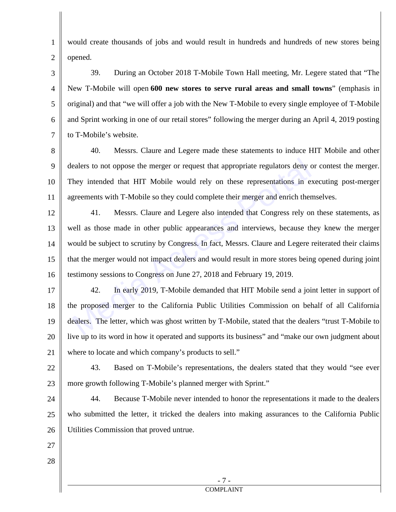1 2 would create thousands of jobs and would result in hundreds and hundreds of new stores being opened.

3 4 5 6 7 39. During an October 2018 T-Mobile Town Hall meeting, Mr. Legere stated that "The New T-Mobile will open **600 new stores to serve rural areas and small towns**" (emphasis in original) and that "we will offer a job with the New T-Mobile to every single employee of T-Mobile and Sprint working in one of our retail stores" following the merger during an April 4, 2019 posting to T-Mobile's website.

8 9 10 11 40. Messrs. Claure and Legere made these statements to induce HIT Mobile and other dealers to not oppose the merger or request that appropriate regulators deny or contest the merger. They intended that HIT Mobile would rely on these representations in executing post-merger agreements with T-Mobile so they could complete their merger and enrich themselves.

12 13 14 15 16 41. Messrs. Claure and Legere also intended that Congress rely on these statements, as well as those made in other public appearances and interviews, because they knew the merger would be subject to scrutiny by Congress. In fact, Messrs. Claure and Legere reiterated their claims that the merger would not impact dealers and would result in more stores being opened during joint testimony sessions to Congress on June 27, 2018 and February 19, 2019. ealers to not oppose the merger or request that appropriate regulators deny of<br>hey intended that HIT Mobile would rely on these representations in e<br>greements with T-Mobile so they could complete their merger and enrich th

17 18 19 20 21 42. In early 2019, T-Mobile demanded that HIT Mobile send a joint letter in support of the proposed merger to the California Public Utilities Commission on behalf of all California dealers. The letter, which was ghost written by T-Mobile, stated that the dealers "trust T-Mobile to live up to its word in how it operated and supports its business" and "make our own judgment about where to locate and which company's products to sell."

22 23 43. Based on T-Mobile's representations, the dealers stated that they would "see ever more growth following T-Mobile's planned merger with Sprint."

24 25 26 44. Because T-Mobile never intended to honor the representations it made to the dealers who submitted the letter, it tricked the dealers into making assurances to the California Public Utilities Commission that proved untrue.

27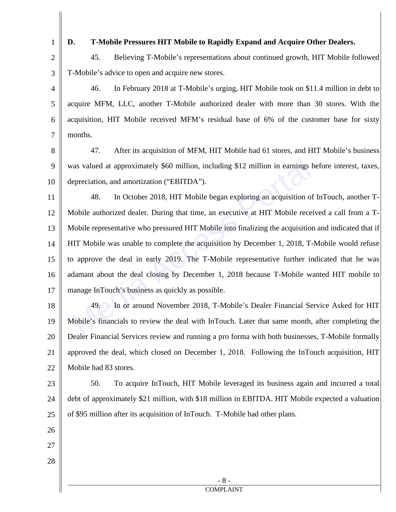## **D. T-Mobile Pressures HIT Mobile to Rapidly Expand and Acquire Other Dealers.**

2 3 45. Believing T-Mobile's representations about continued growth, HIT Mobile followed T-Mobile's advice to open and acquire new stores.

4 5 6 7 46. In February 2018 at T-Mobile's urging, HIT Mobile took on \$11.4 million in debt to acquire MFM, LLC, another T-Mobile authorized dealer with more than 30 stores. With the acquisition, HIT Mobile received MFM's residual base of 6% of the customer base for sixty months.

8

9 10 47. After its acquisition of MFM, HIT Mobile had 61 stores, and HIT Mobile's business was valued at approximately \$60 million, including \$12 million in earnings before interest, taxes, depreciation, and amortization ("EBITDA").

11 12 13 14 15 16 17 48. In October 2018, HIT Mobile began exploring an acquisition of InTouch, another T-Mobile authorized dealer. During that time, an executive at HIT Mobile received a call from a T-Mobile representative who pressured HIT Mobile into finalizing the acquisition and indicated that if HIT Mobile was unable to complete the acquisition by December 1, 2018, T-Mobile would refuse to approve the deal in early 2019. The T-Mobile representative further indicated that he was adamant about the deal closing by December 1, 2018 because T-Mobile wanted HIT mobile to manage InTouch's business as quickly as possible. vas valued at approximately \$60 million, including \$12 million in earnings<br>epreciation, and amortization ("EBITDA").<br>48. In October 2018, HIT Mobile began exploring an acquisition of<br>Mobile authorized dealer. During that t

18 19 20 21 22 49. In or around November 2018, T-Mobile's Dealer Financial Service Asked for HIT Mobile's financials to review the deal with InTouch. Later that same month, after completing the Dealer Financial Services review and running a pro forma with both businesses, T-Mobile formally approved the deal, which closed on December 1, 2018. Following the InTouch acquisition, HIT Mobile had 83 stores.

23 24 25 50. To acquire InTouch, HIT Mobile leveraged its business again and incurred a total debt of approximately \$21 million, with \$18 million in EBITDA. HIT Mobile expected a valuation of \$95 million after its acquisition of InTouch. T-Mobile had other plans.

- 26
- 27
- 28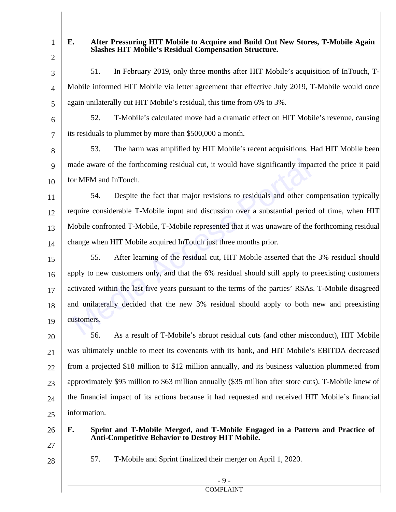2

3

4

5

### **E. After Pressuring HIT Mobile to Acquire and Build Out New Stores, T-Mobile Again Slashes HIT Mobile's Residual Compensation Structure.**

51. In February 2019, only three months after HIT Mobile's acquisition of InTouch, T-Mobile informed HIT Mobile via letter agreement that effective July 2019, T-Mobile would once again unilaterally cut HIT Mobile's residual, this time from 6% to 3%.

6

7

52. T-Mobile's calculated move had a dramatic effect on HIT Mobile's revenue, causing its residuals to plummet by more than \$500,000 a month.

8 9 10 53. The harm was amplified by HIT Mobile's recent acquisitions. Had HIT Mobile been made aware of the forthcoming residual cut, it would have significantly impacted the price it paid for MFM and InTouch.

11 12 13 14 54. Despite the fact that major revisions to residuals and other compensation typically require considerable T-Mobile input and discussion over a substantial period of time, when HIT Mobile confronted T-Mobile, T-Mobile represented that it was unaware of the forthcoming residual change when HIT Mobile acquired InTouch just three months prior.

15 16 17 18 19 55. After learning of the residual cut, HIT Mobile asserted that the 3% residual should apply to new customers only, and that the 6% residual should still apply to preexisting customers activated within the last five years pursuant to the terms of the parties' RSAs. T-Mobile disagreed and unilaterally decided that the new 3% residual should apply to both new and preexisting customers. ande aware of the forthcoming residual cut, it would have significantly impare MFM and InTouch.<br>
54. Despite the fact that major revisions to residuals and other co<br>
equire considerable T-Mobile input and discussion over a

20 21 22 23 24 25 56. As a result of T-Mobile's abrupt residual cuts (and other misconduct), HIT Mobile was ultimately unable to meet its covenants with its bank, and HIT Mobile's EBITDA decreased from a projected \$18 million to \$12 million annually, and its business valuation plummeted from approximately \$95 million to \$63 million annually (\$35 million after store cuts). T-Mobile knew of the financial impact of its actions because it had requested and received HIT Mobile's financial information.

26

27

28

57. T-Mobile and Sprint finalized their merger on April 1, 2020.

**Anti-Competitive Behavior to Destroy HIT Mobile.** 

**F. Sprint and T-Mobile Merged, and T-Mobile Engaged in a Pattern and Practice of**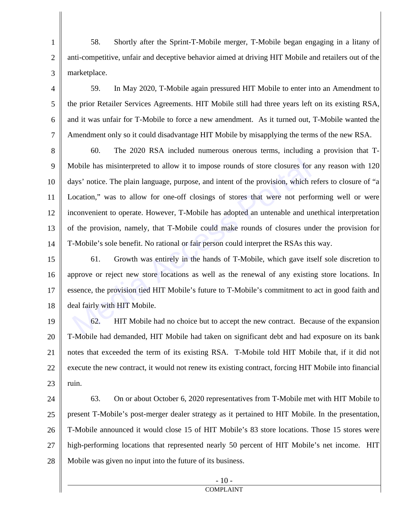1 2 3 58. Shortly after the Sprint-T-Mobile merger, T-Mobile began engaging in a litany of anti-competitive, unfair and deceptive behavior aimed at driving HIT Mobile and retailers out of the marketplace.

4 5 6 7 59. In May 2020, T-Mobile again pressured HIT Mobile to enter into an Amendment to the prior Retailer Services Agreements. HIT Mobile still had three years left on its existing RSA, and it was unfair for T-Mobile to force a new amendment. As it turned out, T-Mobile wanted the Amendment only so it could disadvantage HIT Mobile by misapplying the terms of the new RSA.

8 9 10 11 12 13 14 60. The 2020 RSA included numerous onerous terms, including a provision that T-Mobile has misinterpreted to allow it to impose rounds of store closures for any reason with 120 days' notice. The plain language, purpose, and intent of the provision, which refers to closure of "a Location," was to allow for one-off closings of stores that were not performing well or were inconvenient to operate. However, T-Mobile has adopted an untenable and unethical interpretation of the provision, namely, that T-Mobile could make rounds of closures under the provision for T-Mobile's sole benefit. No rational or fair person could interpret the RSAs this way. Mobile has misinterpreted to allow it to impose rounds of store closures for<br>ays' notice. The plain language, purpose, and intent of the provision, which is<br>ocation," was to allow for one-off closings of stores that were n

15 16 17 18 61. Growth was entirely in the hands of T-Mobile, which gave itself sole discretion to approve or reject new store locations as well as the renewal of any existing store locations. In essence, the provision tied HIT Mobile's future to T-Mobile's commitment to act in good faith and deal fairly with HIT Mobile.

19 20 21 22 23 62. HIT Mobile had no choice but to accept the new contract. Because of the expansion T-Mobile had demanded, HIT Mobile had taken on significant debt and had exposure on its bank notes that exceeded the term of its existing RSA. T-Mobile told HIT Mobile that, if it did not execute the new contract, it would not renew its existing contract, forcing HIT Mobile into financial ruin.

24 25 26 27 28 63. On or about October 6, 2020 representatives from T-Mobile met with HIT Mobile to present T-Mobile's post-merger dealer strategy as it pertained to HIT Mobile. In the presentation, T-Mobile announced it would close 15 of HIT Mobile's 83 store locations. Those 15 stores were high-performing locations that represented nearly 50 percent of HIT Mobile's net income. HIT Mobile was given no input into the future of its business.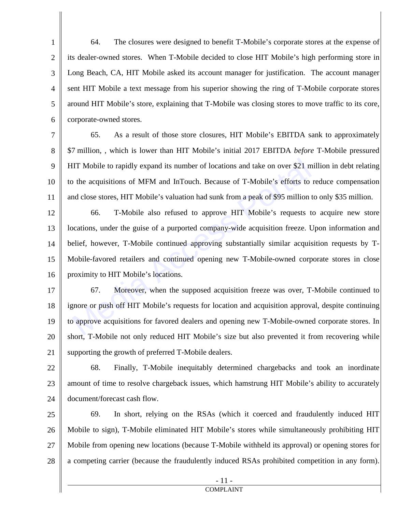1 2 3 4 5 6 64. The closures were designed to benefit T-Mobile's corporate stores at the expense of its dealer-owned stores. When T-Mobile decided to close HIT Mobile's high performing store in Long Beach, CA, HIT Mobile asked its account manager for justification. The account manager sent HIT Mobile a text message from his superior showing the ring of T-Mobile corporate stores around HIT Mobile's store, explaining that T-Mobile was closing stores to move traffic to its core, corporate-owned stores.

7 8 9 10 11 65. As a result of those store closures, HIT Mobile's EBITDA sank to approximately \$7 million, , which is lower than HIT Mobile's initial 2017 EBITDA *before* T-Mobile pressured HIT Mobile to rapidly expand its number of locations and take on over \$21 million in debt relating to the acquisitions of MFM and InTouch. Because of T-Mobile's efforts to reduce compensation and close stores, HIT Mobile's valuation had sunk from a peak of \$95 million to only \$35 million.

12 13 14 15 16 66. T-Mobile also refused to approve HIT Mobile's requests to acquire new store locations, under the guise of a purported company-wide acquisition freeze. Upon information and belief, however, T-Mobile continued approving substantially similar acquisition requests by T-Mobile-favored retailers and continued opening new T-Mobile-owned corporate stores in close proximity to HIT Mobile's locations. IIT Mobile to rapidly expand its number of locations and take on over \$21 m<br>
2. The acquisitions of MFM and InTouch. Because of T-Mobile's efforts to<br>
2. The acquisitions of MFM and InTouch. Because of T-Mobile's efforts t

17 18 19 20 21 67. Moreover, when the supposed acquisition freeze was over, T-Mobile continued to ignore or push off HIT Mobile's requests for location and acquisition approval, despite continuing to approve acquisitions for favored dealers and opening new T-Mobile-owned corporate stores. In short, T-Mobile not only reduced HIT Mobile's size but also prevented it from recovering while supporting the growth of preferred T-Mobile dealers.

22 23 24 68. Finally, T-Mobile inequitably determined chargebacks and took an inordinate amount of time to resolve chargeback issues, which hamstrung HIT Mobile's ability to accurately document/forecast cash flow.

25 26 27 28 69. In short, relying on the RSAs (which it coerced and fraudulently induced HIT Mobile to sign), T-Mobile eliminated HIT Mobile's stores while simultaneously prohibiting HIT Mobile from opening new locations (because T-Mobile withheld its approval) or opening stores for a competing carrier (because the fraudulently induced RSAs prohibited competition in any form).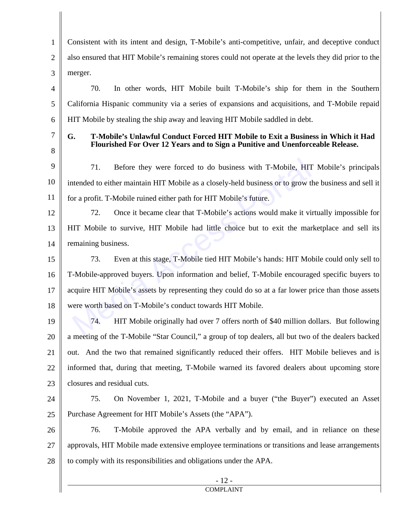1 2 3 4 5 6 7 Consistent with its intent and design, T-Mobile's anti-competitive, unfair, and deceptive conduct also ensured that HIT Mobile's remaining stores could not operate at the levels they did prior to the merger. 70. In other words, HIT Mobile built T-Mobile's ship for them in the Southern California Hispanic community via a series of expansions and acquisitions, and T-Mobile repaid HIT Mobile by stealing the ship away and leaving HIT Mobile saddled in debt. **G. T-Mobile's Unlawful Conduct Forced HIT Mobile to Exit a Business in Which it Had** 

8

**Flourished For Over 12 Years and to Sign a Punitive and Unenforceable Release.** 

9 10 11 71. Before they were forced to do business with T-Mobile, HIT Mobile's principals intended to either maintain HIT Mobile as a closely-held business or to grow the business and sell it for a profit. T-Mobile ruined either path for HIT Mobile's future.

12 13 14 72. Once it became clear that T-Mobile's actions would make it virtually impossible for HIT Mobile to survive, HIT Mobile had little choice but to exit the marketplace and sell its remaining business.

15 16 17 18 73. Even at this stage, T-Mobile tied HIT Mobile's hands: HIT Mobile could only sell to T-Mobile-approved buyers. Upon information and belief, T-Mobile encouraged specific buyers to acquire HIT Mobile's assets by representing they could do so at a far lower price than those assets were worth based on T-Mobile's conduct towards HIT Mobile. 71. Before they were forced to do business with T-Mobile, HIT then the control to either maintain HIT Mobile as a closely-held business or to grow that a profit. T-Mobile ruined either path for HIT Mobile's future.<br>T2. Onc

19 20 21 22 23 74. HIT Mobile originally had over 7 offers north of \$40 million dollars. But following a meeting of the T-Mobile "Star Council," a group of top dealers, all but two of the dealers backed out. And the two that remained significantly reduced their offers. HIT Mobile believes and is informed that, during that meeting, T-Mobile warned its favored dealers about upcoming store closures and residual cuts.

24

25

75. On November 1, 2021, T-Mobile and a buyer ("the Buyer") executed an Asset Purchase Agreement for HIT Mobile's Assets (the "APA").

26 27 28 76. T-Mobile approved the APA verbally and by email, and in reliance on these approvals, HIT Mobile made extensive employee terminations or transitions and lease arrangements to comply with its responsibilities and obligations under the APA.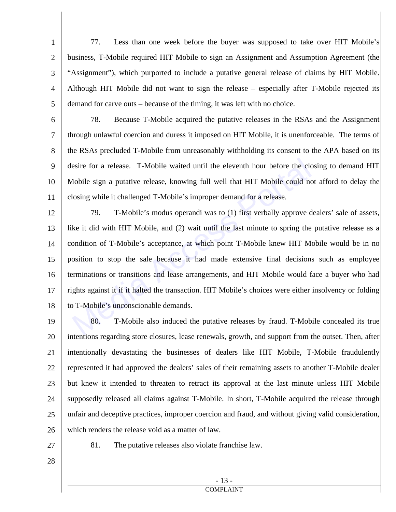1 2 3 4 5 77. Less than one week before the buyer was supposed to take over HIT Mobile's business, T-Mobile required HIT Mobile to sign an Assignment and Assumption Agreement (the "Assignment"), which purported to include a putative general release of claims by HIT Mobile. Although HIT Mobile did not want to sign the release – especially after T-Mobile rejected its demand for carve outs – because of the timing, it was left with no choice.

6 7 8 9 10 11 78. Because T-Mobile acquired the putative releases in the RSAs and the Assignment through unlawful coercion and duress it imposed on HIT Mobile, it is unenforceable. The terms of the RSAs precluded T-Mobile from unreasonably withholding its consent to the APA based on its desire for a release. T-Mobile waited until the eleventh hour before the closing to demand HIT Mobile sign a putative release, knowing full well that HIT Mobile could not afford to delay the closing while it challenged T-Mobile's improper demand for a release.

12 13 14 15 16 17 18 79. T-Mobile's modus operandi was to (1) first verbally approve dealers' sale of assets, like it did with HIT Mobile, and (2) wait until the last minute to spring the putative release as a condition of T-Mobile's acceptance, at which point T-Mobile knew HIT Mobile would be in no position to stop the sale because it had made extensive final decisions such as employee terminations or transitions and lease arrangements, and HIT Mobile would face a buyer who had rights against it if it halted the transaction. HIT Mobile's choices were either insolvency or folding to T-Mobile's unconscionable demands. esire for a release. T-Mobile waited until the eleventh hour before the ck<br>dobile sign a putative release, knowing full well that HIT Mobile could no<br>losing while it challenged T-Mobile's improper demand for a release.<br>79.

19 20 21 22 23 24 25 26 80. T-Mobile also induced the putative releases by fraud. T-Mobile concealed its true intentions regarding store closures, lease renewals, growth, and support from the outset. Then, after intentionally devastating the businesses of dealers like HIT Mobile, T-Mobile fraudulently represented it had approved the dealers' sales of their remaining assets to another T-Mobile dealer but knew it intended to threaten to retract its approval at the last minute unless HIT Mobile supposedly released all claims against T-Mobile. In short, T-Mobile acquired the release through unfair and deceptive practices, improper coercion and fraud, and without giving valid consideration, which renders the release void as a matter of law.

27

81. The putative releases also violate franchise law.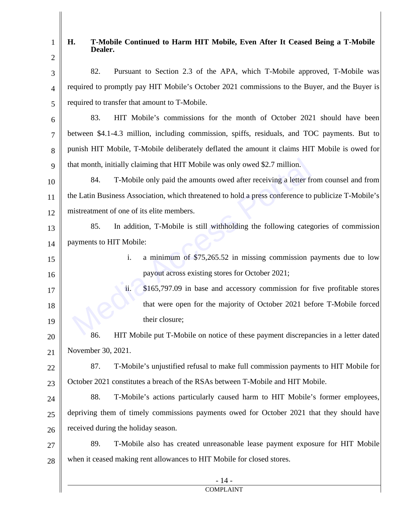16

# **H. T-Mobile Continued to Harm HIT Mobile, Even After It Ceased Being a T-Mobile Dealer.**

- 3 4 5 82. Pursuant to Section 2.3 of the APA, which T-Mobile approved, T-Mobile was required to promptly pay HIT Mobile's October 2021 commissions to the Buyer, and the Buyer is required to transfer that amount to T-Mobile.
- 6 7 8 9 83. HIT Mobile's commissions for the month of October 2021 should have been between \$4.1-4.3 million, including commission, spiffs, residuals, and TOC payments. But to punish HIT Mobile, T-Mobile deliberately deflated the amount it claims HIT Mobile is owed for that month, initially claiming that HIT Mobile was only owed \$2.7 million.
- 10 11 12 84. T-Mobile only paid the amounts owed after receiving a letter from counsel and from the Latin Business Association, which threatened to hold a press conference to publicize T-Mobile's mistreatment of one of its elite members.
- 13 14 85. In addition, T-Mobile is still withholding the following categories of commission payments to HIT Mobile:
	- i. a minimum of \$75,265.52 in missing commission payments due to low payout across existing stores for October 2021;
- 17 18 19 ii. \$165,797.09 in base and accessory commission for five profitable stores that were open for the majority of October 2021 before T-Mobile forced their closure; nat month, initially claiming that HIT Mobile was only owed \$2.7 million.<br>
84. T-Mobile only paid the amounts owed after receiving a letter five Latin Business Association, which threatened to hold a press conference to hi
- 20 21 86. HIT Mobile put T-Mobile on notice of these payment discrepancies in a letter dated November 30, 2021.
- 22 23 87. T-Mobile's unjustified refusal to make full commission payments to HIT Mobile for October 2021 constitutes a breach of the RSAs between T-Mobile and HIT Mobile.

24 25 26 88. T-Mobile's actions particularly caused harm to HIT Mobile's former employees, depriving them of timely commissions payments owed for October 2021 that they should have received during the holiday season.

27 28 89. T-Mobile also has created unreasonable lease payment exposure for HIT Mobile when it ceased making rent allowances to HIT Mobile for closed stores.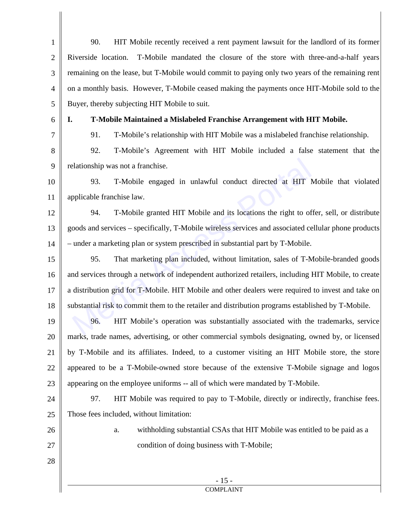| $\mathbf{1}$   | 90.<br>HIT Mobile recently received a rent payment lawsuit for the landlord of its former            |
|----------------|------------------------------------------------------------------------------------------------------|
| $\overline{2}$ | Riverside location.<br>T-Mobile mandated the closure of the store with three-and-a-half years        |
| 3              | remaining on the lease, but T-Mobile would commit to paying only two years of the remaining rent     |
| $\overline{4}$ | on a monthly basis. However, T-Mobile ceased making the payments once HIT-Mobile sold to the         |
| 5              | Buyer, thereby subjecting HIT Mobile to suit.                                                        |
| 6              | T-Mobile Maintained a Mislabeled Franchise Arrangement with HIT Mobile.<br>I.                        |
| 7              | 91.<br>T-Mobile's relationship with HIT Mobile was a mislabeled franchise relationship.              |
| 8              | 92.<br>T-Mobile's Agreement with HIT Mobile included a false statement that the                      |
| 9              | relationship was not a franchise.                                                                    |
| 10             | T-Mobile engaged in unlawful conduct directed at HIT Mobile that violated<br>93.                     |
| 11             | applicable franchise law.                                                                            |
| 12             | T-Mobile granted HIT Mobile and its locations the right to offer, sell, or distribute<br>94.         |
| 13             | goods and services - specifically, T-Mobile wireless services and associated cellular phone products |
| 14             | - under a marketing plan or system prescribed in substantial part by T-Mobile.                       |
| 15             | That marketing plan included, without limitation, sales of T-Mobile-branded goods<br>95.             |
| 16             | and services through a network of independent authorized retailers, including HIT Mobile, to create  |
| 17             | a distribution grid for T-Mobile. HIT Mobile and other dealers were required to invest and take on   |
| 18             | substantial risk to commit them to the retailer and distribution programs established by T-Mobile.   |
| 19             | HIT Mobile's operation was substantially associated with the trademarks, service<br>96.              |
| 20             | marks, trade names, advertising, or other commercial symbols designating, owned by, or licensed      |
| 21             | by T-Mobile and its affiliates. Indeed, to a customer visiting an HIT Mobile store, the store        |
| 22             | appeared to be a T-Mobile-owned store because of the extensive T-Mobile signage and logos            |
| 23             | appearing on the employee uniforms -- all of which were mandated by T-Mobile.                        |
| 24             | HIT Mobile was required to pay to T-Mobile, directly or indirectly, franchise fees.<br>97.           |
| 25             | Those fees included, without limitation:                                                             |
| 26             | withholding substantial CSAs that HIT Mobile was entitled to be paid as a<br>a.                      |
| 27             | condition of doing business with T-Mobile;                                                           |
| 28             |                                                                                                      |
|                | $-15-$                                                                                               |
|                | <b>COMPLAINT</b>                                                                                     |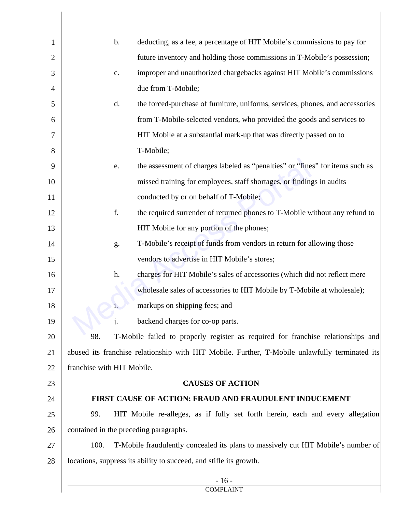| $\mathbf{1}$   | deducting, as a fee, a percentage of HIT Mobile's commissions to pay for<br>$\mathbf b$ .      |
|----------------|------------------------------------------------------------------------------------------------|
| $\overline{2}$ | future inventory and holding those commissions in T-Mobile's possession;                       |
| 3              | improper and unauthorized chargebacks against HIT Mobile's commissions<br>c.                   |
| $\overline{4}$ | due from T-Mobile;                                                                             |
| 5              | d.<br>the forced-purchase of furniture, uniforms, services, phones, and accessories            |
| 6              | from T-Mobile-selected vendors, who provided the goods and services to                         |
| $\overline{7}$ | HIT Mobile at a substantial mark-up that was directly passed on to                             |
| 8              | T-Mobile;                                                                                      |
| 9              | the assessment of charges labeled as "penalties" or "fines" for items such as<br>e.            |
| 10             | missed training for employees, staff shortages, or findings in audits                          |
| 11             | conducted by or on behalf of T-Mobile;                                                         |
| 12             | f.<br>the required surrender of returned phones to T-Mobile without any refund to              |
| 13             | HIT Mobile for any portion of the phones;                                                      |
| 14             | T-Mobile's receipt of funds from vendors in return for allowing those<br>g.                    |
| 15             | vendors to advertise in HIT Mobile's stores;                                                   |
| 16             | h.<br>charges for HIT Mobile's sales of accessories (which did not reflect mere                |
| 17             | wholesale sales of accessories to HIT Mobile by T-Mobile at wholesale);                        |
| 18             | markups on shipping fees; and<br>$i$ .                                                         |
| 19             | backend charges for co-op parts.<br>j.                                                         |
| 20             | 98.<br>T-Mobile failed to properly register as required for franchise relationships and        |
| 21             | abused its franchise relationship with HIT Mobile. Further, T-Mobile unlawfully terminated its |
| 22             | franchise with HIT Mobile.                                                                     |
| 23             | <b>CAUSES OF ACTION</b>                                                                        |
| 24             | FIRST CAUSE OF ACTION: FRAUD AND FRAUDULENT INDUCEMENT                                         |
| 25             | 99.<br>HIT Mobile re-alleges, as if fully set forth herein, each and every allegation          |
| 26             | contained in the preceding paragraphs.                                                         |
| 27             | 100.<br>T-Mobile fraudulently concealed its plans to massively cut HIT Mobile's number of      |
| 28             | locations, suppress its ability to succeed, and stifle its growth.                             |
|                | $-16-$<br><b>COMPLAINT</b>                                                                     |

 $\mathsf{l}$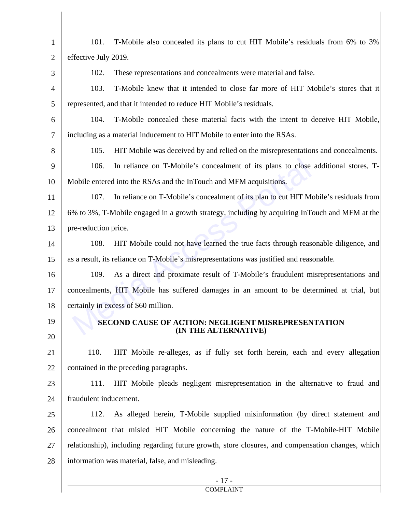| $\mathbf{1}$   | T-Mobile also concealed its plans to cut HIT Mobile's residuals from 6% to 3%<br>101.             |  |
|----------------|---------------------------------------------------------------------------------------------------|--|
| $\mathfrak{2}$ | effective July 2019.                                                                              |  |
| 3              | These representations and concealments were material and false.<br>102.                           |  |
| $\overline{4}$ | 103.<br>T-Mobile knew that it intended to close far more of HIT Mobile's stores that it           |  |
| 5              | represented, and that it intended to reduce HIT Mobile's residuals.                               |  |
| 6              | T-Mobile concealed these material facts with the intent to deceive HIT Mobile,<br>104.            |  |
| $\tau$         | including as a material inducement to HIT Mobile to enter into the RSAs.                          |  |
| 8              | HIT Mobile was deceived by and relied on the misrepresentations and concealments.<br>105.         |  |
| 9              | 106.<br>In reliance on T-Mobile's concealment of its plans to close additional stores, T-         |  |
| 10             | Mobile entered into the RSAs and the InTouch and MFM acquisitions.                                |  |
| 11             | In reliance on T-Mobile's concealment of its plan to cut HIT Mobile's residuals from<br>107.      |  |
| 12             | 6% to 3%, T-Mobile engaged in a growth strategy, including by acquiring InTouch and MFM at the    |  |
| 13             | pre-reduction price.                                                                              |  |
| 14             | HIT Mobile could not have learned the true facts through reasonable diligence, and<br>108.        |  |
| 15             | as a result, its reliance on T-Mobile's misrepresentations was justified and reasonable.          |  |
| 16             | As a direct and proximate result of T-Mobile's fraudulent misrepresentations and<br>109.          |  |
| 17             | concealments, HIT Mobile has suffered damages in an amount to be determined at trial, but         |  |
| 18             | certainly in excess of \$60 million.                                                              |  |
| 19             | SECOND CAUSE OF ACTION: NEGLIGENT MISREPRESENTATION<br>(IN THE ALTERNATIVE)                       |  |
| 20             |                                                                                                   |  |
| 21             | HIT Mobile re-alleges, as if fully set forth herein, each and every allegation<br>110.            |  |
| 22             | contained in the preceding paragraphs.                                                            |  |
| 23             | HIT Mobile pleads negligent misrepresentation in the alternative to fraud and<br>111.             |  |
| 24             | fraudulent inducement.                                                                            |  |
| 25             | As alleged herein, T-Mobile supplied misinformation (by direct statement and<br>112.              |  |
| 26             | concealment that misled HIT Mobile concerning the nature of the T-Mobile-HIT Mobile               |  |
| 27             | relationship), including regarding future growth, store closures, and compensation changes, which |  |
| 28             | information was material, false, and misleading.                                                  |  |
|                | $-17-$<br><b>COMPLAINT</b>                                                                        |  |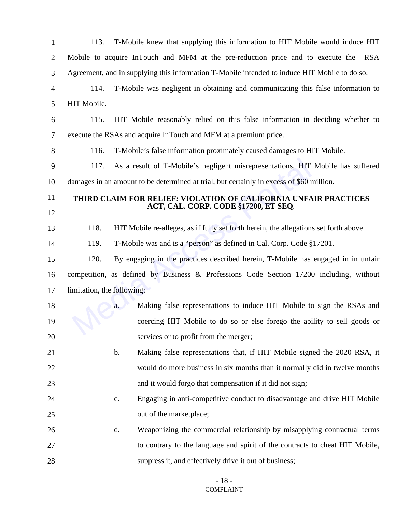| $\mathbf{1}$   | 113.                       | T-Mobile knew that supplying this information to HIT Mobile would induce HIT                  |
|----------------|----------------------------|-----------------------------------------------------------------------------------------------|
| $\overline{2}$ |                            | Mobile to acquire InTouch and MFM at the pre-reduction price and to execute the RSA           |
| 3              |                            | Agreement, and in supplying this information T-Mobile intended to induce HIT Mobile to do so. |
| $\overline{4}$ | 114.                       | T-Mobile was negligent in obtaining and communicating this false information to               |
| 5              | HIT Mobile.                |                                                                                               |
| 6              | 115.                       | HIT Mobile reasonably relied on this false information in deciding whether to                 |
| $\tau$         |                            | execute the RSAs and acquire InTouch and MFM at a premium price.                              |
| 8              | 116.                       | T-Mobile's false information proximately caused damages to HIT Mobile.                        |
| 9              | 117.                       | As a result of T-Mobile's negligent misrepresentations, HIT Mobile has suffered               |
| 10             |                            | damages in an amount to be determined at trial, but certainly in excess of \$60 million.      |
| 11             |                            | THIRD CLAIM FOR RELIEF: VIOLATION OF CALIFORNIA UNFAIR PRACTICES                              |
| 12             |                            | ACT, CAL. CORP. CODE §17200, ET SEQ.                                                          |
| 13             | 118.                       | HIT Mobile re-alleges, as if fully set forth herein, the allegations set forth above.         |
| 14             | 119.                       | T-Mobile was and is a "person" as defined in Cal. Corp. Code §17201.                          |
| 15             | 120.                       | By engaging in the practices described herein, T-Mobile has engaged in in unfair              |
| 16             |                            | competition, as defined by Business & Professions Code Section 17200 including, without       |
| 17             | limitation, the following: |                                                                                               |
| 18             |                            | Making false representations to induce HIT Mobile to sign the RSAs and<br>a.                  |
| 19             |                            | coercing HIT Mobile to do so or else forego the ability to sell goods or                      |
| 20             |                            | services or to profit from the merger;                                                        |
| 21             |                            | b.<br>Making false representations that, if HIT Mobile signed the 2020 RSA, it                |
| 22             |                            | would do more business in six months than it normally did in twelve months                    |
| 23             |                            | and it would forgo that compensation if it did not sign;                                      |
| 24             |                            | Engaging in anti-competitive conduct to disadvantage and drive HIT Mobile<br>$\mathbf{c}$ .   |
| 25             |                            | out of the marketplace;                                                                       |
| 26             |                            | d.<br>Weaponizing the commercial relationship by misapplying contractual terms                |
| 27             |                            | to contrary to the language and spirit of the contracts to cheat HIT Mobile,                  |
| 28             |                            | suppress it, and effectively drive it out of business;                                        |
|                |                            | $-18-$<br><b>COMPLAINT</b>                                                                    |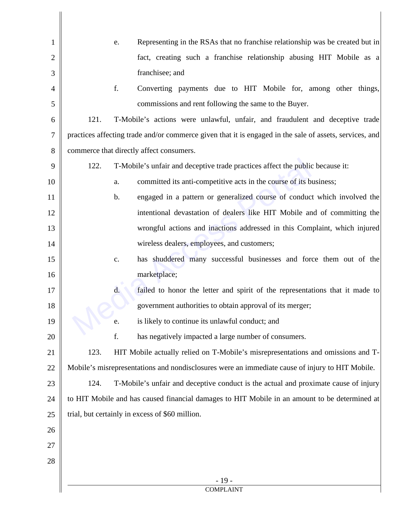| $\mathbf{1}$   |      | Representing in the RSAs that no franchise relationship was be created but in<br>e.                     |
|----------------|------|---------------------------------------------------------------------------------------------------------|
| $\overline{2}$ |      | fact, creating such a franchise relationship abusing HIT Mobile as a                                    |
| 3              |      | franchisee; and                                                                                         |
| 4              |      | f.<br>Converting payments due to HIT Mobile for, among other things,                                    |
| 5              |      | commissions and rent following the same to the Buyer.                                                   |
| 6              | 121. | T-Mobile's actions were unlawful, unfair, and fraudulent and deceptive trade                            |
| $\tau$         |      | practices affecting trade and/or commerce given that it is engaged in the sale of assets, services, and |
| 8              |      | commerce that directly affect consumers.                                                                |
| 9              | 122. | T-Mobile's unfair and deceptive trade practices affect the public because it:                           |
| 10             |      | committed its anti-competitive acts in the course of its business;<br>a.                                |
| 11             |      | engaged in a pattern or generalized course of conduct which involved the<br>b.                          |
| 12             |      | intentional devastation of dealers like HIT Mobile and of committing the                                |
| 13             |      | wrongful actions and inactions addressed in this Complaint, which injured                               |
| 14             |      | wireless dealers, employees, and customers;                                                             |
| 15             |      | has shuddered many successful businesses and force them out of the<br>$\mathbf{C}$ .                    |
| 16             |      | marketplace;                                                                                            |
| 17             |      | d.<br>failed to honor the letter and spirit of the representations that it made to                      |
| 18             |      | government authorities to obtain approval of its merger;                                                |
| 19             |      | is likely to continue its unlawful conduct; and<br>e.                                                   |
| 20             |      | f.<br>has negatively impacted a large number of consumers.                                              |
| 21             | 123. | HIT Mobile actually relied on T-Mobile's misrepresentations and omissions and T-                        |
| 22             |      | Mobile's misrepresentations and nondisclosures were an immediate cause of injury to HIT Mobile.         |
| 23             | 124. | T-Mobile's unfair and deceptive conduct is the actual and proximate cause of injury                     |
| 24             |      | to HIT Mobile and has caused financial damages to HIT Mobile in an amount to be determined at           |
| 25             |      | trial, but certainly in excess of \$60 million.                                                         |
| 26             |      |                                                                                                         |
| 27             |      |                                                                                                         |
| 28             |      |                                                                                                         |
|                |      | $-19-$                                                                                                  |
|                |      | <b>COMPLAINT</b>                                                                                        |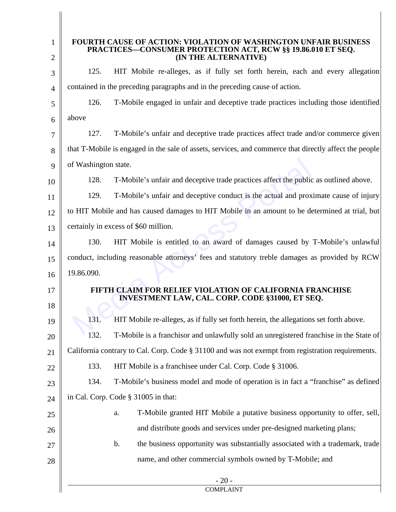| 1<br>2 | <b>FOURTH CAUSE OF ACTION: VIOLATION OF WASHINGTON UNFAIR BUSINESS</b><br>PRACTICES-CONSUMER PROTECTION ACT, RCW §§ 19.86.010 ET SEQ.<br>(IN THE ALTERNATIVE) |
|--------|---------------------------------------------------------------------------------------------------------------------------------------------------------------|
| 3      | 125.<br>HIT Mobile re-alleges, as if fully set forth herein, each and every allegation                                                                        |
| 4      | contained in the preceding paragraphs and in the preceding cause of action.                                                                                   |
| 5      | 126.<br>T-Mobile engaged in unfair and deceptive trade practices including those identified                                                                   |
| 6      | above                                                                                                                                                         |
| 7      | 127.<br>T-Mobile's unfair and deceptive trade practices affect trade and/or commerce given                                                                    |
| 8      | that T-Mobile is engaged in the sale of assets, services, and commerce that directly affect the people                                                        |
| 9      | of Washington state.                                                                                                                                          |
| 10     | 128.<br>T-Mobile's unfair and deceptive trade practices affect the public as outlined above.                                                                  |
| 11     | T-Mobile's unfair and deceptive conduct is the actual and proximate cause of injury<br>129.                                                                   |
| 12     | to HIT Mobile and has caused damages to HIT Mobile in an amount to be determined at trial, but                                                                |
| 13     | certainly in excess of \$60 million.                                                                                                                          |
| 14     | 130.<br>HIT Mobile is entitled to an award of damages caused by T-Mobile's unlawful                                                                           |
| 15     | conduct, including reasonable attorneys' fees and statutory treble damages as provided by RCW                                                                 |
| 16     | 19.86.090.                                                                                                                                                    |
| 17     | FTH CLAIM FOR RELIEF VIOLATION OF CALIFORNIA FRANCHISE                                                                                                        |
| 18     | INVESTMENT LAW, CAL. CORP. CODE §31000, ET SEQ.                                                                                                               |
| 19     | 131.<br>HIT Mobile re-alleges, as if fully set forth herein, the allegations set forth above.                                                                 |
| 20     | 132.<br>T-Mobile is a franchisor and unlawfully sold an unregistered franchise in the State of                                                                |
| 21     | California contrary to Cal. Corp. Code § 31100 and was not exempt from registration requirements.                                                             |
| 22     | 133.<br>HIT Mobile is a franchisee under Cal. Corp. Code § 31006.                                                                                             |
| 23     | T-Mobile's business model and mode of operation is in fact a "franchise" as defined<br>134.                                                                   |
| 24     | in Cal. Corp. Code § 31005 in that:                                                                                                                           |
| 25     | T-Mobile granted HIT Mobile a putative business opportunity to offer, sell,<br>a.                                                                             |
| 26     | and distribute goods and services under pre-designed marketing plans;                                                                                         |
| 27     | the business opportunity was substantially associated with a trademark, trade<br>$\mathbf b$ .                                                                |
| 28     | name, and other commercial symbols owned by T-Mobile; and                                                                                                     |
|        | $-20-$<br><b>COMPLAINT</b>                                                                                                                                    |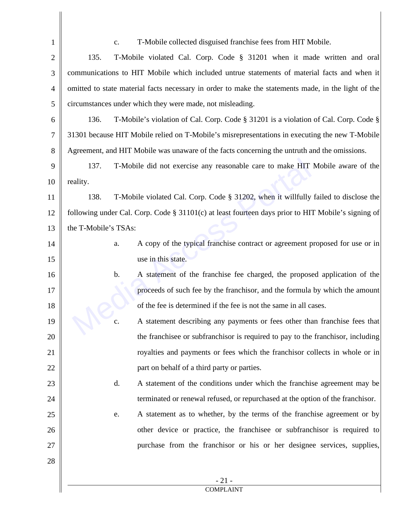| $\mathbf{1}$   | T-Mobile collected disguised franchise fees from HIT Mobile.<br>c.                                  |
|----------------|-----------------------------------------------------------------------------------------------------|
| $\mathfrak{2}$ | 135.<br>T-Mobile violated Cal. Corp. Code § 31201 when it made written and oral                     |
| 3              | communications to HIT Mobile which included untrue statements of material facts and when it         |
| $\overline{4}$ | omitted to state material facts necessary in order to make the statements made, in the light of the |
| 5              | circumstances under which they were made, not misleading.                                           |
| 6              | 136.<br>T-Mobile's violation of Cal. Corp. Code § 31201 is a violation of Cal. Corp. Code §         |
| $\overline{7}$ | 31301 because HIT Mobile relied on T-Mobile's misrepresentations in executing the new T-Mobile      |
| 8              | Agreement, and HIT Mobile was unaware of the facts concerning the untruth and the omissions.        |
| 9              | 137.<br>T-Mobile did not exercise any reasonable care to make HIT Mobile aware of the               |
| 10             | reality.                                                                                            |
| 11             | T-Mobile violated Cal. Corp. Code § 31202, when it willfully failed to disclose the<br>138.         |
| 12             | following under Cal. Corp. Code § 31101(c) at least fourteen days prior to HIT Mobile's signing of  |
| 13             | the T-Mobile's TSAs:                                                                                |
| 14             | A copy of the typical franchise contract or agreement proposed for use or in<br>a.                  |
| 15             | use in this state.                                                                                  |
| 16             | A statement of the franchise fee charged, the proposed application of the<br>b.                     |
| 17             | proceeds of such fee by the franchisor, and the formula by which the amount                         |
| 18             | of the fee is determined if the fee is not the same in all cases.                                   |
| 19             | A statement describing any payments or fees other than franchise fees that<br>c.                    |
| 20             | the franchise or subfranchisor is required to pay to the franchisor, including                      |
| 21             | royalties and payments or fees which the franchisor collects in whole or in                         |
| 22             | part on behalf of a third party or parties.                                                         |
| 23             | A statement of the conditions under which the franchise agreement may be<br>d.                      |
| 24             | terminated or renewal refused, or repurchased at the option of the franchisor.                      |
| 25             | A statement as to whether, by the terms of the franchise agreement or by<br>e.                      |
| 26             | other device or practice, the franchisee or subfranchisor is required to                            |
| 27             | purchase from the franchisor or his or her designee services, supplies,                             |
| 28             |                                                                                                     |
|                | $-21-$                                                                                              |
|                | <b>COMPLAINT</b>                                                                                    |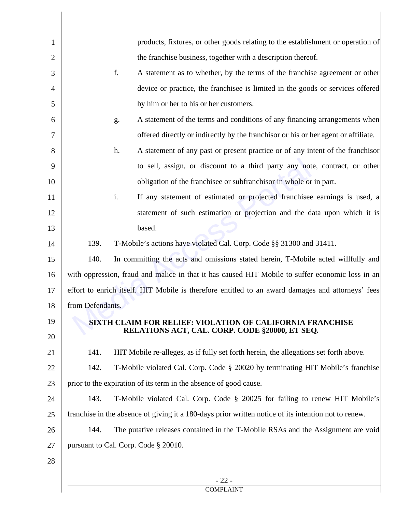| 1  |                  | products, fixtures, or other goods relating to the establishment or operation of                                   |
|----|------------------|--------------------------------------------------------------------------------------------------------------------|
| 2  |                  | the franchise business, together with a description thereof.                                                       |
| 3  |                  | f.<br>A statement as to whether, by the terms of the franchise agreement or other                                  |
| 4  |                  | device or practice, the franchisee is limited in the goods or services offered                                     |
| 5  |                  | by him or her to his or her customers.                                                                             |
| 6  |                  | A statement of the terms and conditions of any financing arrangements when<br>g.                                   |
| 7  |                  | offered directly or indirectly by the franchisor or his or her agent or affiliate.                                 |
| 8  |                  | A statement of any past or present practice or of any intent of the franchisor<br>h.                               |
| 9  |                  | to sell, assign, or discount to a third party any note, contract, or other                                         |
| 10 |                  | obligation of the franchise or subfranchisor in whole or in part.                                                  |
| 11 |                  | If any statement of estimated or projected franchisee earnings is used, a<br>i.                                    |
| 12 |                  | statement of such estimation or projection and the data upon which it is                                           |
| 13 |                  | based.                                                                                                             |
| 14 | 139.             | T-Mobile's actions have violated Cal. Corp. Code §§ 31300 and 31411.                                               |
| 15 | 140.             | In committing the acts and omissions stated herein, T-Mobile acted willfully and                                   |
| 16 |                  | with oppression, fraud and malice in that it has caused HIT Mobile to suffer economic loss in an                   |
| 17 |                  | effort to enrich itself. HIT Mobile is therefore entitled to an award damages and attorneys' fees                  |
| 18 | from Defendants. |                                                                                                                    |
| 19 |                  | <b>SIXTH CLAIM FOR RELIEF: VIOLATION OF CALIFORNIA FRANCHISE</b><br>RELATIONS ACT, CAL. CORP. CODE §20000, ET SEQ. |
| 20 |                  |                                                                                                                    |
| 21 | 141.             | HIT Mobile re-alleges, as if fully set forth herein, the allegations set forth above.                              |
| 22 | 142.             | T-Mobile violated Cal. Corp. Code § 20020 by terminating HIT Mobile's franchise                                    |
| 23 |                  | prior to the expiration of its term in the absence of good cause.                                                  |
| 24 | 143.             | T-Mobile violated Cal. Corp. Code § 20025 for failing to renew HIT Mobile's                                        |
| 25 |                  | franchise in the absence of giving it a 180-days prior written notice of its intention not to renew.               |
| 26 | 144.             | The putative releases contained in the T-Mobile RSAs and the Assignment are void                                   |
| 27 |                  | pursuant to Cal. Corp. Code § 20010.                                                                               |
| 28 |                  |                                                                                                                    |
|    |                  | $-22-$                                                                                                             |
|    |                  | <b>COMPLAINT</b>                                                                                                   |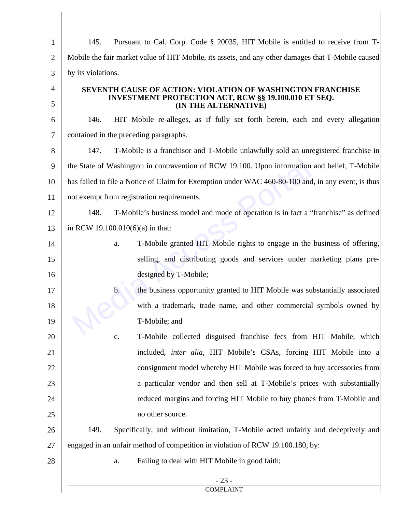| $\mathbf{1}$   | Pursuant to Cal. Corp. Code § 20035, HIT Mobile is entitled to receive from T-<br>145.             |  |
|----------------|----------------------------------------------------------------------------------------------------|--|
| $\overline{2}$ | Mobile the fair market value of HIT Mobile, its assets, and any other damages that T-Mobile caused |  |
| 3              | by its violations.                                                                                 |  |
| $\overline{4}$ | <b>SEVENTH CAUSE OF ACTION: VIOLATION OF WASHINGTON FRANCHISE</b>                                  |  |
| 5              | <b>INVESTMENT PROTECTION ACT, RCW §§ 19.100.010 ET SEQ.</b><br>(IN THE ALTERNATIVE)                |  |
| 6              | HIT Mobile re-alleges, as if fully set forth herein, each and every allegation<br>146.             |  |
| 7              | contained in the preceding paragraphs.                                                             |  |
| 8              | 147.<br>T-Mobile is a franchisor and T-Mobile unlawfully sold an unregistered franchise in         |  |
| 9              | the State of Washington in contravention of RCW 19.100. Upon information and belief, T-Mobile      |  |
| 10             | has failed to file a Notice of Claim for Exemption under WAC 460-80-100 and, in any event, is thus |  |
| 11             | not exempt from registration requirements.                                                         |  |
| 12             | T-Mobile's business model and mode of operation is in fact a "franchise" as defined<br>148.        |  |
| 13             | in RCW 19.100.010(6)(a) in that:                                                                   |  |
| 14             | T-Mobile granted HIT Mobile rights to engage in the business of offering,<br>a.                    |  |
| 15             | selling, and distributing goods and services under marketing plans pre-                            |  |
| 16             | designed by T-Mobile;                                                                              |  |
| 17             | $\mathbf b$ .<br>the business opportunity granted to HIT Mobile was substantially associated       |  |
| 18             | with a trademark, trade name, and other commercial symbols owned by                                |  |
| 19             | T-Mobile; and                                                                                      |  |
| 20             | T-Mobile collected disguised franchise fees from HIT Mobile, which<br>c.                           |  |
| 21             | included, <i>inter alia</i> , HIT Mobile's CSAs, forcing HIT Mobile into a                         |  |
| 22             | consignment model whereby HIT Mobile was forced to buy accessories from                            |  |
| 23             | a particular vendor and then sell at T-Mobile's prices with substantially                          |  |
| 24             | reduced margins and forcing HIT Mobile to buy phones from T-Mobile and                             |  |
| 25             | no other source.                                                                                   |  |
| 26             | Specifically, and without limitation, T-Mobile acted unfairly and deceptively and<br>149.          |  |
| 27             | engaged in an unfair method of competition in violation of RCW 19.100.180, by:                     |  |
| 28             | Failing to deal with HIT Mobile in good faith;<br>a.                                               |  |
|                | $-23-$<br><b>COMPLAINT</b>                                                                         |  |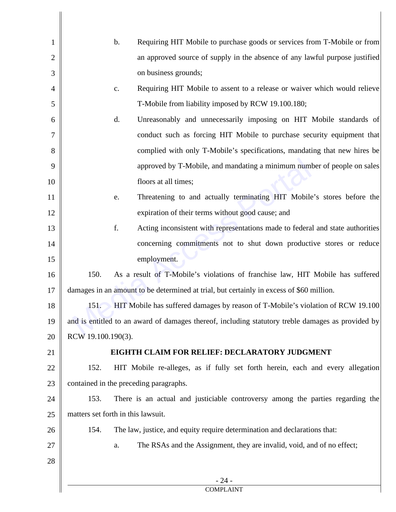| 1              | $\mathbf b$ .<br>Requiring HIT Mobile to purchase goods or services from T-Mobile or from         |
|----------------|---------------------------------------------------------------------------------------------------|
| $\overline{2}$ | an approved source of supply in the absence of any lawful purpose justified                       |
| 3              | on business grounds;                                                                              |
| $\overline{4}$ | Requiring HIT Mobile to assent to a release or waiver which would relieve<br>$\mathbf{C}$ .       |
| 5              | T-Mobile from liability imposed by RCW 19.100.180;                                                |
| 6              | d.<br>Unreasonably and unnecessarily imposing on HIT Mobile standards of                          |
| $\overline{7}$ | conduct such as forcing HIT Mobile to purchase security equipment that                            |
| 8              | complied with only T-Mobile's specifications, mandating that new hires be                         |
| 9              | approved by T-Mobile, and mandating a minimum number of people on sales                           |
| 10             | floors at all times;                                                                              |
| 11             | Threatening to and actually terminating HIT Mobile's stores before the<br>e.                      |
| 12             | expiration of their terms without good cause; and                                                 |
| 13             | f.<br>Acting inconsistent with representations made to federal and state authorities              |
| 14             | concerning commitments not to shut down productive stores or reduce                               |
| 15             | employment.                                                                                       |
| 16             | 150.<br>As a result of T-Mobile's violations of franchise law, HIT Mobile has suffered            |
| 17             | damages in an amount to be determined at trial, but certainly in excess of \$60 million.          |
| 18             | HIT Mobile has suffered damages by reason of T-Mobile's violation of RCW 19.100<br>151.           |
| 19             | and is entitled to an award of damages thereof, including statutory treble damages as provided by |
| 20             | RCW 19.100.190(3).                                                                                |
| 21             | EIGHTH CLAIM FOR RELIEF: DECLARATORY JUDGMENT                                                     |
| 22             | HIT Mobile re-alleges, as if fully set forth herein, each and every allegation<br>152.            |
| 23             | contained in the preceding paragraphs.                                                            |
| 24             | 153.<br>There is an actual and justiciable controversy among the parties regarding the            |
| 25             | matters set forth in this lawsuit.                                                                |
| 26             | 154.<br>The law, justice, and equity require determination and declarations that:                 |
| 27             | The RSAs and the Assignment, they are invalid, void, and of no effect;<br>a.                      |
| 28             |                                                                                                   |
|                | $-24-$                                                                                            |
|                | <b>COMPLAINT</b>                                                                                  |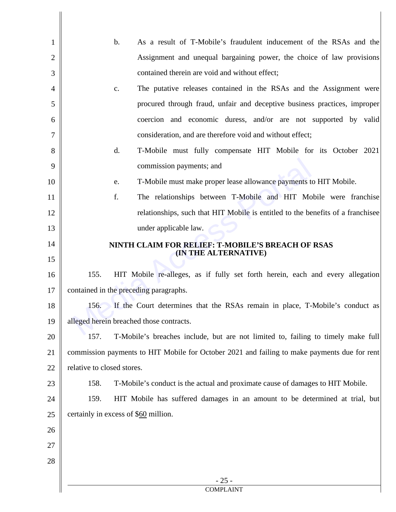| $\mathbf{1}$   | As a result of T-Mobile's fraudulent inducement of the RSAs and the<br>$\mathbf b$ .         |
|----------------|----------------------------------------------------------------------------------------------|
| $\mathbf{2}$   | Assignment and unequal bargaining power, the choice of law provisions                        |
| 3              | contained therein are void and without effect;                                               |
| $\overline{4}$ | The putative releases contained in the RSAs and the Assignment were<br>c.                    |
| 5              | procured through fraud, unfair and deceptive business practices, improper                    |
| 6              | coercion and economic duress, and/or are not supported by valid                              |
| 7              | consideration, and are therefore void and without effect;                                    |
| 8              | d.<br>T-Mobile must fully compensate HIT Mobile for its October 2021                         |
| 9              | commission payments; and                                                                     |
| 10             | T-Mobile must make proper lease allowance payments to HIT Mobile.<br>e.                      |
| 11             | f.<br>The relationships between T-Mobile and HIT Mobile were franchise                       |
| 12             | relationships, such that HIT Mobile is entitled to the benefits of a franchisee              |
| 13             | under applicable law.                                                                        |
| 14             | NINTH CLAIM FOR RELIEF: T-MOBILE'S BREACH OF RSAS                                            |
| 15             | (IN THE ALTERNATIVE)                                                                         |
| 16             | 155.<br>HIT Mobile re-alleges, as if fully set forth herein, each and every allegation       |
| 17             | contained in the preceding paragraphs.                                                       |
| $18\,$         | If the Court determines that the RSAs remain in place, T-Mobile's conduct as<br>156.         |
| 19             | alleged herein breached those contracts.                                                     |
| 20             | 157.<br>T-Mobile's breaches include, but are not limited to, failing to timely make full     |
| 21             | commission payments to HIT Mobile for October 2021 and failing to make payments due for rent |
| 22             | relative to closed stores.                                                                   |
| 23             | 158.<br>T-Mobile's conduct is the actual and proximate cause of damages to HIT Mobile.       |
| 24             | 159.<br>HIT Mobile has suffered damages in an amount to be determined at trial, but          |
| 25             | certainly in excess of \$60 million.                                                         |
| 26             |                                                                                              |
| 27             |                                                                                              |
| 28             |                                                                                              |
|                | $-25-$<br><b>COMPLAINT</b>                                                                   |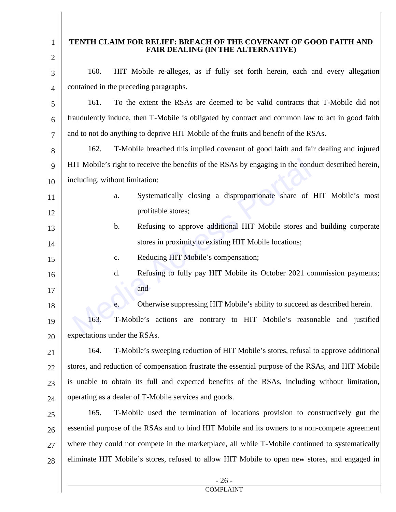| 1<br>$\overline{2}$ | TENTH CLAIM FOR RELIEF: BREACH OF THE COVENANT OF GOOD FAITH AND<br>FAIR DEALING (IN THE ALTERNATIVE) |  |
|---------------------|-------------------------------------------------------------------------------------------------------|--|
|                     | 160.<br>HIT Mobile re-alleges, as if fully set forth herein, each and every allegation                |  |
| 3                   | contained in the preceding paragraphs.                                                                |  |
| $\overline{4}$      | 161.<br>To the extent the RSAs are deemed to be valid contracts that T-Mobile did not                 |  |
| 5                   |                                                                                                       |  |
| 6                   | fraudulently induce, then T-Mobile is obligated by contract and common law to act in good faith       |  |
| $\overline{7}$      | and to not do anything to deprive HIT Mobile of the fruits and benefit of the RSAs.                   |  |
| 8                   | T-Mobile breached this implied covenant of good faith and fair dealing and injured<br>162.            |  |
| 9                   | HIT Mobile's right to receive the benefits of the RSAs by engaging in the conduct described herein,   |  |
| 10                  | including, without limitation:                                                                        |  |
| 11                  | Systematically closing a disproportionate share of HIT Mobile's most<br>a.                            |  |
| 12                  | profitable stores;                                                                                    |  |
| 13                  | Refusing to approve additional HIT Mobile stores and building corporate<br>b.                         |  |
| 14                  | stores in proximity to existing HIT Mobile locations;                                                 |  |
| 15                  | Reducing HIT Mobile's compensation;<br>$\mathbf{C}$ .                                                 |  |
| 16                  | Refusing to fully pay HIT Mobile its October 2021 commission payments;<br>d.                          |  |
| 17                  | and                                                                                                   |  |
| 18                  | Otherwise suppressing HIT Mobile's ability to succeed as described herein.<br>e.                      |  |
| 19                  | T-Mobile's actions are contrary to HIT Mobile's reasonable and justified<br>163.                      |  |
| 20                  | expectations under the RSAs.                                                                          |  |
| 21                  | T-Mobile's sweeping reduction of HIT Mobile's stores, refusal to approve additional<br>164.           |  |
| 22                  | stores, and reduction of compensation frustrate the essential purpose of the RSAs, and HIT Mobile     |  |
| 23                  | is unable to obtain its full and expected benefits of the RSAs, including without limitation,         |  |
| 24                  | operating as a dealer of T-Mobile services and goods.                                                 |  |
| 25                  | 165.<br>T-Mobile used the termination of locations provision to constructively gut the                |  |
| 26                  | essential purpose of the RSAs and to bind HIT Mobile and its owners to a non-compete agreement        |  |
| 27                  | where they could not compete in the marketplace, all while T-Mobile continued to systematically       |  |
| 28                  | eliminate HIT Mobile's stores, refused to allow HIT Mobile to open new stores, and engaged in         |  |
|                     | $-26-$<br><b>COMPLAINT</b>                                                                            |  |